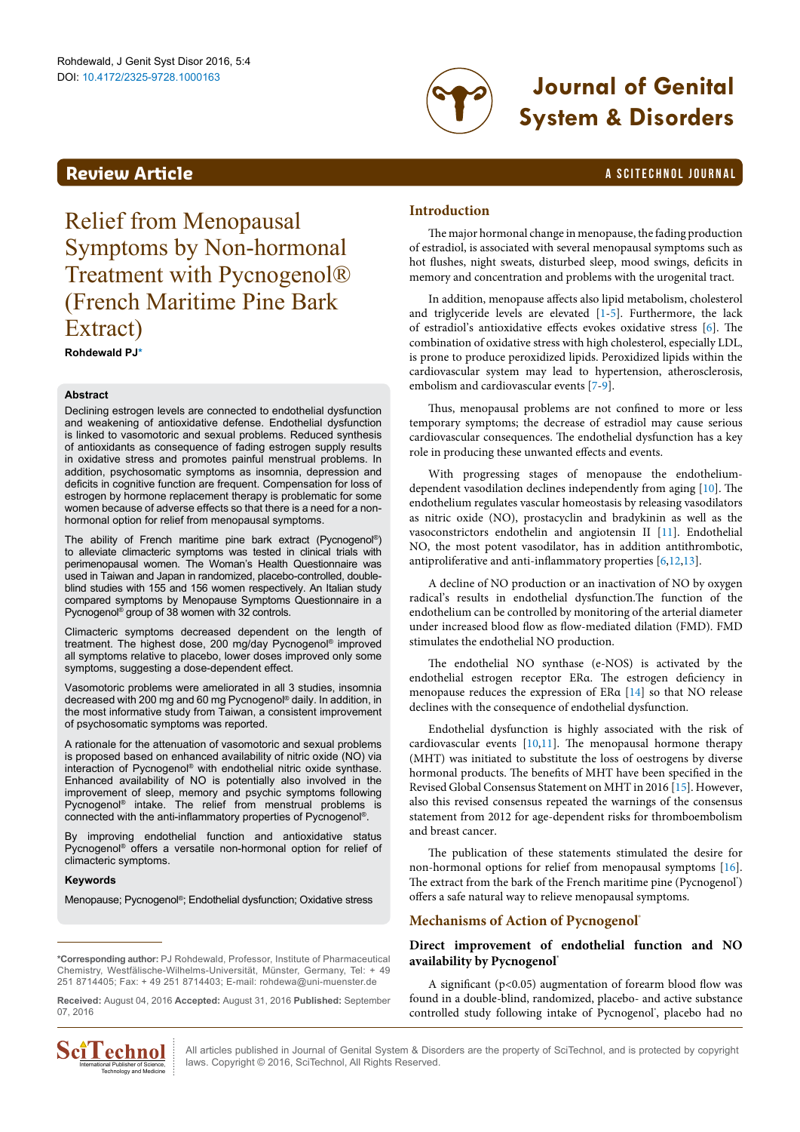

# DOI: 10.4172/2325-9728.1000163 **Journal of Genital System & Disorders**

# **Review Article a Scitter and Telecommunity a** Scitter and Telecommunity **a** Scitter and Telecommunity **a** Scitter and Telecommunity **a** Scitter and Telecommunity **a** Scitter and Telecommunity **and Telecommunity a** S

# Relief from Menopausal Symptoms by Non-hormonal Treatment with Pycnogenol® (French Maritime Pine Bark Extract)

**Rohdewald PJ[\\*](#page-0-0)**

## **Abstract**

Declining estrogen levels are connected to endothelial dysfunction and weakening of antioxidative defense. Endothelial dysfunction is linked to vasomotoric and sexual problems. Reduced synthesis of antioxidants as consequence of fading estrogen supply results in oxidative stress and promotes painful menstrual problems. In addition, psychosomatic symptoms as insomnia, depression and deficits in cognitive function are frequent. Compensation for loss of estrogen by hormone replacement therapy is problematic for some women because of adverse effects so that there is a need for a nonhormonal option for relief from menopausal symptoms.

The ability of French maritime pine bark extract (Pycnogenol®) to alleviate climacteric symptoms was tested in clinical trials with perimenopausal women. The Woman's Health Questionnaire was used in Taiwan and Japan in randomized, placebo-controlled, doubleblind studies with 155 and 156 women respectively. An Italian study compared symptoms by Menopause Symptoms Questionnaire in a Pycnogenol® group of 38 women with 32 controls.

Climacteric symptoms decreased dependent on the length of treatment. The highest dose, 200 mg/day Pycnogenol® improved all symptoms relative to placebo, lower doses improved only some symptoms, suggesting a dose-dependent effect.

Vasomotoric problems were ameliorated in all 3 studies, insomnia decreased with 200 mg and 60 mg Pycnogenol® daily. In addition, in the most informative study from Taiwan, a consistent improvement of psychosomatic symptoms was reported.

A rationale for the attenuation of vasomotoric and sexual problems is proposed based on enhanced availability of nitric oxide (NO) via interaction of Pycnogenol® with endothelial nitric oxide synthase. Enhanced availability of NO is potentially also involved in the improvement of sleep, memory and psychic symptoms following Pycnogenol® intake. The relief from menstrual problems is connected with the anti-inflammatory properties of Pycnogenol®.

By improving endothelial function and antioxidative status Pycnogenol<sup>®</sup> offers a versatile non-hormonal option for relief of climacteric symptoms.

### **Keywords**

Menopause; Pycnogenol®; Endothelial dysfunction; Oxidative stress

<span id="page-0-0"></span>**\*Corresponding author:** PJ Rohdewald, Professor, Institute of Pharmaceutical Chemistry, Westfälische-Wilhelms-Universität, Münster, Germany, Tel: + 49 251 8714405; Fax: + 49 251 8714403; E-mail: rohdewa@uni-muenster.de

**Received:** August 04, 2016 **Accepted:** August 31, 2016 **Published:** September 07, 2016



All articles published in Journal of Genital System & Disorders are the property of SciTechnol, and is protected by copyright **COMBOLE ALL** All articles published in Journal of Genital System & Diso<br>  $\frac{1}{\text{Total Publisher of Science}}$  : laws. Copyright © 2016, SciTechnol, All Rights Reserved.

# **Introduction**

The major hormonal change in menopause, the fading production of estradiol, is associated with several menopausal symptoms such as hot flushes, night sweats, disturbed sleep, mood swings, deficits in memory and concentration and problems with the urogenital tract.

In addition, menopause affects also lipid metabolism, cholesterol and triglyceride levels are elevated [[1](#page-4-0)[-5\]](#page-4-1). Furthermore, the lack of estradiol's antioxidative effects evokes oxidative stress [[6](#page-4-2)]. The combination of oxidative stress with high cholesterol, especially LDL, is prone to produce peroxidized lipids. Peroxidized lipids within the cardiovascular system may lead to hypertension, atherosclerosis, embolism and cardiovascular events [[7-](#page-4-3)[9](#page-4-4)].

Thus, menopausal problems are not confined to more or less temporary symptoms; the decrease of estradiol may cause serious cardiovascular consequences. The endothelial dysfunction has a key role in producing these unwanted effects and events.

With progressing stages of menopause the endotheliumdependent vasodilation declines independently from aging [\[10\]](#page-4-5). The endothelium regulates vascular homeostasis by releasing vasodilators as nitric oxide (NO), prostacyclin and bradykinin as well as the vasoconstrictors endothelin and angiotensin II [\[11](#page-4-6)]. Endothelial NO, the most potent vasodilator, has in addition antithrombotic, antiproliferative and anti-inflammatory properties [[6,](#page-4-2)[12,](#page-4-7)[13](#page-4-8)].

A decline of NO production or an inactivation of NO by oxygen radical's results in endothelial dysfunction.The function of the endothelium can be controlled by monitoring of the arterial diameter under increased blood flow as flow-mediated dilation (FMD). FMD stimulates the endothelial NO production.

The endothelial NO synthase (e-NOS) is activated by the endothelial estrogen receptor ERα. The estrogen deficiency in menopause reduces the expression of ERα [\[14](#page-4-9)] so that NO release declines with the consequence of endothelial dysfunction.

Endothelial dysfunction is highly associated with the risk of cardiovascular events [\[10,](#page-4-5)[11](#page-4-6)]. The menopausal hormone therapy (MHT) was initiated to substitute the loss of oestrogens by diverse hormonal products. The benefits of MHT have been specified in the Revised Global Consensus Statement on MHT in 2016 [[15](#page-4-10)]. However, also this revised consensus repeated the warnings of the consensus statement from 2012 for age-dependent risks for thromboembolism and breast cancer.

The publication of these statements stimulated the desire for non-hormonal options for relief from menopausal symptoms [[16\]](#page-4-11). The extract from the bark of the French maritime pine (Pycnogenol') offers a safe natural way to relieve menopausal symptoms.

# **Mechanisms of Action of Pycnogenol®**

# **Direct improvement of endothelial function and NO availability by Pycnogenol®**

A significant ( $p$ <0.05) augmentation of forearm blood flow was found in a double-blind, randomized, placebo- and active substance controlled study following intake of Pycnogenol', placebo had no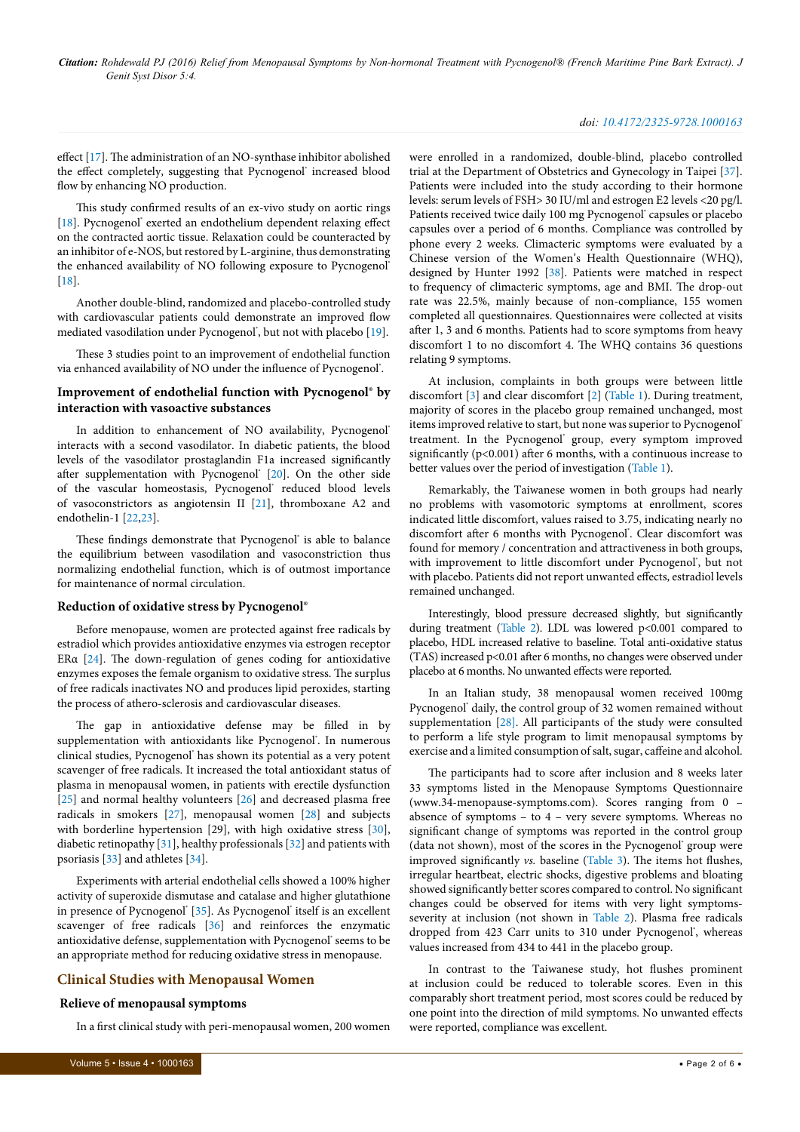*Citation: Rohdewald PJ (2016) Relief from Menopausal Symptoms by Non-hormonal Treatment with Pycnogenol® (French Maritime Pine Bark Extract). J Genit Syst Disor 5:4.*

#### *doi: 10.4172/2325-9728.1000163*

effect [[17](#page-4-12)]. The administration of an NO-synthase inhibitor abolished the effect completely, suggesting that Pycnogenol' increased blood flow by enhancing NO production.

This study confirmed results of an ex-vivo study on aortic rings [[18](#page-4-13)]. Pycnogenol' exerted an endothelium dependent relaxing effect on the contracted aortic tissue. Relaxation could be counteracted by an inhibitor of e-NOS, but restored by L-arginine, thus demonstrating the enhanced availability of NO following exposure to Pycnogenol® [[18](#page-4-13)].

Another double-blind, randomized and placebo-controlled study with cardiovascular patients could demonstrate an improved flow mediated vasodilation under Pycnogenol', but not with placebo [[19](#page-4-14)].

These 3 studies point to an improvement of endothelial function via enhanced availability of NO under the influence of Pycnogenol'.

# **Improvement of endothelial function with Pycnogenol® by interaction with vasoactive substances**

In addition to enhancement of NO availability, Pycnogenol® interacts with a second vasodilator. In diabetic patients, the blood levels of the vasodilator prostaglandin F1a increased significantly after supplementation with Pycnogenol<sup>®</sup> [[20](#page-4-15)]. On the other side of the vascular homeostasis, Pycnogenol' reduced blood levels of vasoconstrictors as angiotensin II [\[21\]](#page-4-16), thromboxane A2 and endothelin-1 [\[22,](#page-4-17)[23\]](#page-4-18).

These findings demonstrate that Pycnogenol' is able to balance the equilibrium between vasodilation and vasoconstriction thus normalizing endothelial function, which is of outmost importance for maintenance of normal circulation.

#### **Reduction of oxidative stress by Pycnogenol®**

Before menopause, women are protected against free radicals by estradiol which provides antioxidative enzymes via estrogen receptor ERα [\[24\]](#page-4-19). The down-regulation of genes coding for antioxidative enzymes exposes the female organism to oxidative stress. The surplus of free radicals inactivates NO and produces lipid peroxides, starting the process of athero-sclerosis and cardiovascular diseases.

The gap in antioxidative defense may be filled in by supplementation with antioxidants like Pycnogenol'. In numerous clinical studies, Pycnogenol® has shown its potential as a very potent scavenger of free radicals. It increased the total antioxidant status of plasma in menopausal women, in patients with erectile dysfunction [[25](#page-4-20)] and normal healthy volunteers [\[26\]](#page-4-21) and decreased plasma free radicals in smokers [\[27\]](#page-4-22), menopausal women [\[28\]](#page-4-23) and subjects with borderline hypertension [29], with high oxidative stress [[30](#page-4-24)], diabetic retinopathy [[31](#page-4-25)], healthy professionals [\[32](#page-4-26)] and patients with psoriasis [[33\]](#page-4-27) and athletes [\[34\]](#page-5-0).

Experiments with arterial endothelial cells showed a 100% higher activity of superoxide dismutase and catalase and higher glutathione in presence of Pycnogenol' [\[35\]](#page-5-1). As Pycnogenol' itself is an excellent scavenger of free radicals [\[36\]](#page-5-2) and reinforces the enzymatic antioxidative defense, supplementation with Pycnogenol' seems to be an appropriate method for reducing oxidative stress in menopause.

## **Clinical Studies with Menopausal Women**

#### **Relieve of menopausal symptoms**

In a first clinical study with peri-menopausal women, 200 women

were enrolled in a randomized, double-blind, placebo controlled trial at the Department of Obstetrics and Gynecology in Taipei [[37\]](#page-5-3). Patients were included into the study according to their hormone levels: serum levels of FSH> 30 IU/ml and estrogen E2 levels <20 pg/l. Patients received twice daily 100 mg Pycnogenol' capsules or placebo capsules over a period of 6 months. Compliance was controlled by phone every 2 weeks. Climacteric symptoms were evaluated by a Chinese version of the Women's Health Questionnaire (WHQ), designed by Hunter 1992 [\[38](#page-5-4)]. Patients were matched in respect to frequency of climacteric symptoms, age and BMI. The drop-out rate was 22.5%, mainly because of non-compliance, 155 women completed all questionnaires. Questionnaires were collected at visits after 1, 3 and 6 months. Patients had to score symptoms from heavy discomfort 1 to no discomfort 4. The WHQ contains 36 questions relating 9 symptoms.

At inclusion, complaints in both groups were between little discomfort [[3](#page-4-28)] and clear discomfort [\[2\]](#page-4-29) [\(Table 1](#page-2-0)). During treatment, majority of scores in the placebo group remained unchanged, most items improved relative to start, but none was superior to Pycnogenol® treatment. In the Pycnogenol' group, every symptom improved significantly (p<0.001) after 6 months, with a continuous increase to better values over the period of investigation [\(Table 1\)](#page-2-0).

Remarkably, the Taiwanese women in both groups had nearly no problems with vasomotoric symptoms at enrollment, scores indicated little discomfort, values raised to 3.75, indicating nearly no discomfort after 6 months with Pycnogenol'. Clear discomfort was found for memory / concentration and attractiveness in both groups, with improvement to little discomfort under Pycnogenol', but not with placebo. Patients did not report unwanted effects, estradiol levels remained unchanged.

Interestingly, blood pressure decreased slightly, but significantly during treatment ([Table 2\)](#page-2-1). LDL was lowered p<0.001 compared to placebo, HDL increased relative to baseline. Total anti-oxidative status (TAS) increased p<0.01 after 6 months, no changes were observed under placebo at 6 months. No unwanted effects were reported.

In an Italian study, 38 menopausal women received 100mg Pycnogenol' daily, the control group of 32 women remained without supplementation [\[28\].](#page-4-23) All participants of the study were consulted to perform a life style program to limit menopausal symptoms by exercise and a limited consumption of salt, sugar, caffeine and alcohol.

The participants had to score after inclusion and 8 weeks later 33 symptoms listed in the Menopause Symptoms Questionnaire ([www.34-menopause-symptoms.com](http://www.34-menopause-symptoms.com)). Scores ranging from 0 – absence of symptoms – to 4 – very severe symptoms. Whereas no significant change of symptoms was reported in the control group (data not shown), most of the scores in the Pycnogenol' group were improved significantly *vs.* baseline [\(Table 3\)](#page-3-0). The items hot flushes, irregular heartbeat, electric shocks, digestive problems and bloating showed significantly better scores compared to control. No significant changes could be observed for items with very light symptomsseverity at inclusion (not shown in [Table 2\)](#page-2-1). Plasma free radicals dropped from 423 Carr units to 310 under Pycnogenol', whereas values increased from 434 to 441 in the placebo group.

In contrast to the Taiwanese study, hot flushes prominent at inclusion could be reduced to tolerable scores. Even in this comparably short treatment period, most scores could be reduced by one point into the direction of mild symptoms. No unwanted effects were reported, compliance was excellent.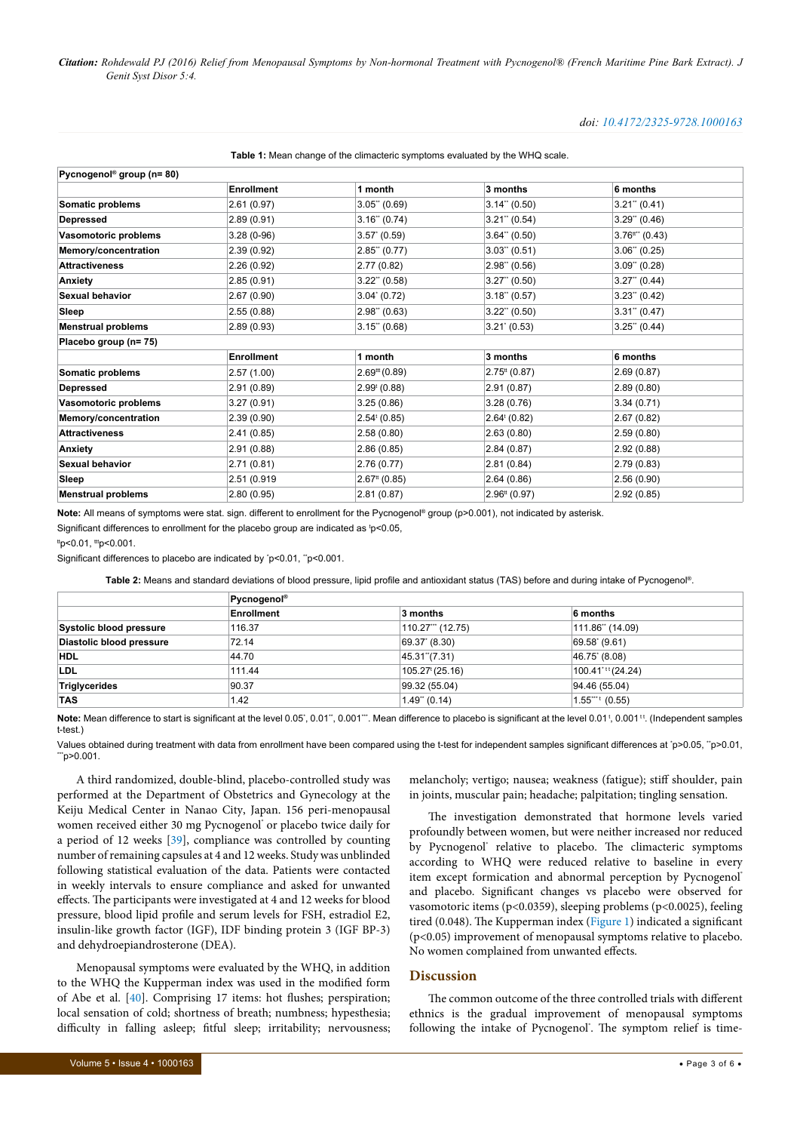### *doi: 10.4172/2325-9728.1000163*

| Pycnogenol <sup>®</sup> group (n= 80) |                   |                              |                           |                               |
|---------------------------------------|-------------------|------------------------------|---------------------------|-------------------------------|
|                                       | <b>Enrollment</b> | 1 month                      | 3 months                  | 6 months                      |
| Somatic problems                      | 2.61(0.97)        | $3.05$ " (0.69)              | $3.14$ " (0.50)           | $3.21$ " (0.41)               |
| <b>Depressed</b>                      | 2.89(0.91)        | 3.16" (0.74)                 | $3.21$ " (0.54)           | $3.29$ " (0.46)               |
| Vasomotoric problems                  | $3.28(0-96)$      | 3.57' (0.59)                 | $3.64$ " (0.50)           | $3.76$ <sup>tt**</sup> (0.43) |
| Memory/concentration                  | 2.39(0.92)        | $2.85$ " (0.77)              | $3.03$ " (0.51)           | $3.06$ " (0.25)               |
| <b>Attractiveness</b>                 | 2.26(0.92)        | 2.77(0.82)                   | $2.98$ " (0.56)           | $3.09$ " (0.28)               |
| Anxiety                               | 2.85(0.91)        | $3.22$ " (0.58)              | $3.27$ " (0.50)           | $3.27$ " (0.44)               |
| <b>Sexual behavior</b>                | 2.67(0.90)        | $3.04^{\circ}$ (0.72)        | $3.18$ " (0.57)           | $3.23$ " (0.42)               |
| Sleep                                 | 2.55(0.88)        | $2.98$ " (0.63)              | $3.22$ " (0.50)           | $3.31$ " (0.47)               |
| <b>Menstrual problems</b>             | 2.89(0.93)        | $3.15$ " (0.68)              | 3.21' (0.53)              | $3.25$ " (0.44)               |
| Placebo group (n= 75)                 |                   |                              |                           |                               |
|                                       | <b>Enrollment</b> | 1 month                      | 3 months                  | 6 months                      |
| Somatic problems                      | 2.57(1.00)        | $2.69$ <sup>ttt</sup> (0.89) | $2.75^{\text{tt}}$ (0.87) | 2.69(0.87)                    |
| <b>Depressed</b>                      | 2.91(0.89)        | 2.99 <sup>t</sup> (0.88)     | 2.91(0.87)                | 2.89(0.80)                    |
| Vasomotoric problems                  | 3.27(0.91)        | 3.25(0.86)                   | 3.28(0.76)                | 3.34(0.71)                    |
| Memory/concentration                  | 2.39(0.90)        | $2.54^{\mathrm{t}}(0.85)$    | $2.64^{\mathrm{t}}(0.82)$ | 2.67(0.82)                    |
| <b>Attractiveness</b>                 | 2.41(0.85)        | 2.58(0.80)                   | 2.63(0.80)                | 2.59(0.80)                    |
| Anxiety                               | 2.91(0.88)        | 2.86(0.85)                   | 2.84(0.87)                | 2.92 (0.88)                   |
| <b>Sexual behavior</b>                | 2.71(0.81)        | 2.76(0.77)                   | 2.81(0.84)                | 2.79 (0.83)                   |
| Sleep                                 | 2.51 (0.919       | $2.67$ <sup>tt</sup> (0.85)  | 2.64(0.86)                | 2.56(0.90)                    |
| <b>Menstrual problems</b>             | 2.80(0.95)        | 2.81(0.87)                   | $2.96tt$ (0.97)           | 2.92(0.85)                    |

#### <span id="page-2-0"></span>**Table 1:** Mean change of the climacteric symptoms evaluated by the WHQ scale.

**Note:** All means of symptoms were stat. sign. different to enrollment for the Pycnogenol® group (p>0.001), not indicated by asterisk. Significant differences to enrollment for the placebo group are indicated as  $p<0.05$ ,

 $t_{\text{p}}$ <0.01,  $t_{\text{p}}$  <0.001.

Significant differences to placebo are indicated by 'p<0.01, "p<0.001.

<span id="page-2-1"></span>**Table 2:** Means and standard deviations of blood pressure, lipid profile and antioxidant status (TAS) before and during intake of Pycnogenol®.

|                          | Pycnogenol® |                     |                               |  |  |  |
|--------------------------|-------------|---------------------|-------------------------------|--|--|--|
|                          | Enrollment  | 3 months            | 6 months                      |  |  |  |
| Systolic blood pressure  | 116.37      | 110.27" (12.75)     | 111.86" (14.09)               |  |  |  |
| Diastolic blood pressure | 72.14       | 69.37 (8.30)        | 69.58 (9.61)                  |  |  |  |
| <b>HDL</b>               | 44.70       | 45.31"(7.31)        | $ 46.75*(8.08) $              |  |  |  |
| LDL                      | 111.44      | $105.27^{t}(25.16)$ | 100.41 <sup>*tt</sup> (24.24) |  |  |  |
| Triglycerides            | 90.37       | 99.32 (55.04)       | 94.46 (55.04)                 |  |  |  |
| <b>TAS</b>               | 1.42        | $1.49$ " (0.14)     | $1.55$ $(0.55)$               |  |  |  |

**Note:** Mean difference to start is significant at the level 0.05°, 0.01°". 0.001°". Mean difference to placebo is significant at the level 0.01 <sup>t</sup>, 0.001 <sup>tt</sup>. (Independent samples t-test.)

Values obtained during treatment with data from enrollment have been compared using the t-test for independent samples significant differences at `p>0.05, ``p>0.01,<br>"`p>0.001.

A third randomized, double-blind, placebo-controlled study was performed at the Department of Obstetrics and Gynecology at the Keiju Medical Center in Nanao City, Japan. 156 peri-menopausal women received either 30 mg Pycnogenol" or placebo twice daily for a period of 12 weeks [\[39\]](#page-5-5), compliance was controlled by counting number of remaining capsules at 4 and 12 weeks. Study was unblinded following statistical evaluation of the data. Patients were contacted in weekly intervals to ensure compliance and asked for unwanted effects. The participants were investigated at 4 and 12 weeks for blood pressure, blood lipid profile and serum levels for FSH, estradiol E2, insulin-like growth factor (IGF), IDF binding protein 3 (IGF BP-3) and dehydroepiandrosterone (DEA).

Menopausal symptoms were evaluated by the WHQ, in addition to the WHQ the Kupperman index was used in the modified form of Abe et al. [[40](#page-5-6)]. Comprising 17 items: hot flushes; perspiration; local sensation of cold; shortness of breath; numbness; hypesthesia; difficulty in falling asleep; fitful sleep; irritability; nervousness;

melancholy; vertigo; nausea; weakness (fatigue); stiff shoulder, pain in joints, muscular pain; headache; palpitation; tingling sensation.

The investigation demonstrated that hormone levels varied profoundly between women, but were neither increased nor reduced by Pycnogenol' relative to placebo. The climacteric symptoms according to WHQ were reduced relative to baseline in every item except formication and abnormal perception by Pycnogenol<sup>®</sup> and placebo. Significant changes vs placebo were observed for vasomotoric items (p<0.0359), sleeping problems (p<0.0025), feeling tired (0.048). The Kupperman index [\(Figure 1\)](#page-4-30) indicated a significant (p<0.05) improvement of menopausal symptoms relative to placebo. No women complained from unwanted effects.

# **Discussion**

The common outcome of the three controlled trials with different ethnics is the gradual improvement of menopausal symptoms following the intake of Pycnogenol'. The symptom relief is time-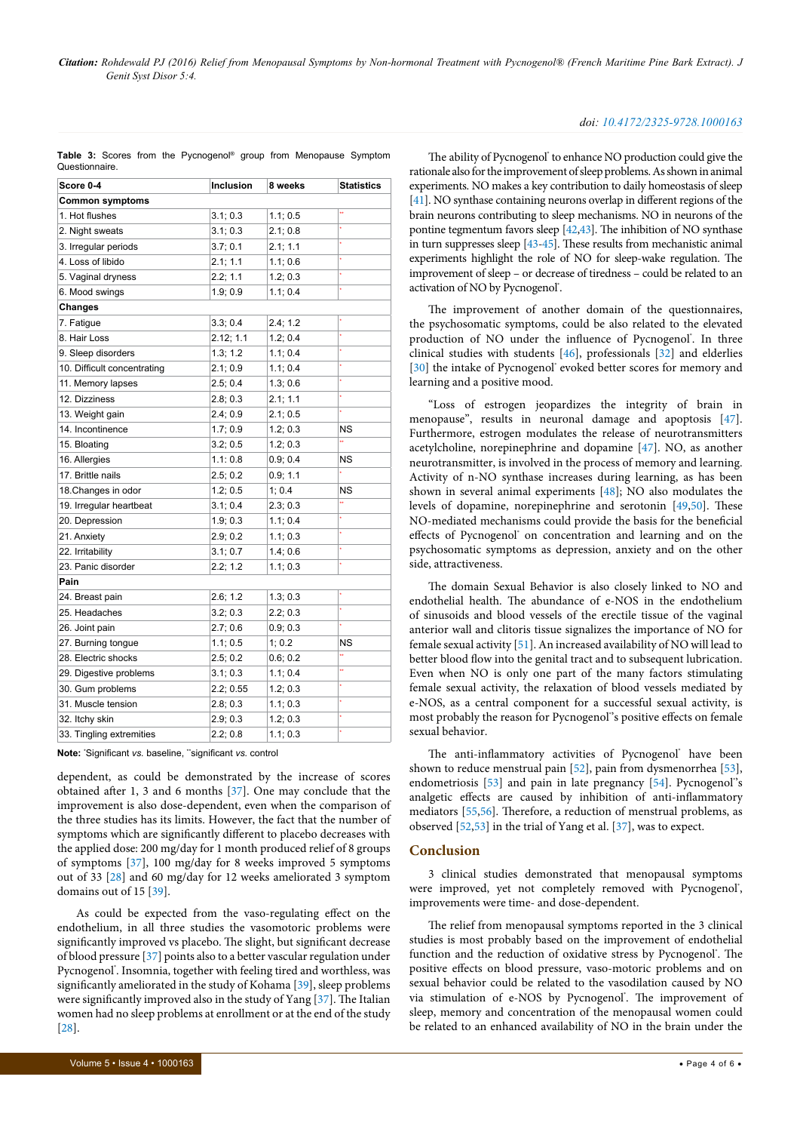<span id="page-3-0"></span>

|                |  |  | Table 3: Scores from the Pycnogenol <sup>®</sup> group from Menopause Symptom |  |  |
|----------------|--|--|-------------------------------------------------------------------------------|--|--|
| Questionnaire. |  |  |                                                                               |  |  |

| Score 0-4                   | <b>Inclusion</b> | 8 weeks  | <b>Statistics</b> |  |  |  |  |
|-----------------------------|------------------|----------|-------------------|--|--|--|--|
| <b>Common symptoms</b>      |                  |          |                   |  |  |  |  |
| 1. Hot flushes              | 3.1; 0.3         | 1.1; 0.5 | 44                |  |  |  |  |
| 2. Night sweats             | 3.1; 0.3         | 2.1;0.8  |                   |  |  |  |  |
| 3. Irregular periods        | 3.7; 0.1         | 2.1; 1.1 | ¥                 |  |  |  |  |
| 4. Loss of libido           | 2.1; 1.1         | 1.1;0.6  |                   |  |  |  |  |
| 5. Vaginal dryness          | 2.2; 1.1         | 1.2; 0.3 |                   |  |  |  |  |
| 6. Mood swings              | 1.9; 0.9         | 1.1; 0.4 |                   |  |  |  |  |
| <b>Changes</b>              |                  |          |                   |  |  |  |  |
| 7. Fatigue                  | 3.3; 0.4         | 2.4; 1.2 |                   |  |  |  |  |
| 8. Hair Loss                | 2.12; 1.1        | 1.2; 0.4 |                   |  |  |  |  |
| 9. Sleep disorders          | 1.3; 1.2         | 1.1; 0.4 |                   |  |  |  |  |
| 10. Difficult concentrating | 2.1;0.9          | 1.1; 0.4 |                   |  |  |  |  |
| 11. Memory lapses           | 2.5; 0.4         | 1.3;0.6  |                   |  |  |  |  |
| 12. Dizziness               | 2.8; 0.3         | 2.1; 1.1 |                   |  |  |  |  |
| 13. Weight gain             | 2.4;0.9          | 2.1; 0.5 |                   |  |  |  |  |
| 14. Incontinence            | 1.7;0.9          | 1.2; 0.3 | <b>NS</b>         |  |  |  |  |
| 15. Bloating                | 3.2; 0.5         | 1.2; 0.3 |                   |  |  |  |  |
| 16. Allergies               | 1.1:0.8          | 0.9;0.4  | NS                |  |  |  |  |
| 17. Brittle nails           | 2.5; 0.2         | 0.9; 1.1 |                   |  |  |  |  |
| 18. Changes in odor         | 1.2; 0.5         | 1; 0.4   | ΝS                |  |  |  |  |
| 19. Irregular heartbeat     | 3.1; 0.4         | 2.3; 0.3 |                   |  |  |  |  |
| 20. Depression              | 1.9; 0.3         | 1.1; 0.4 |                   |  |  |  |  |
| 21. Anxiety                 | 2.9; 0.2         | 1.1; 0.3 |                   |  |  |  |  |
| 22. Irritability            | 3.1; 0.7         | 1.4; 0.6 | ç                 |  |  |  |  |
| 23. Panic disorder          | 2.2; 1.2         | 1.1; 0.3 |                   |  |  |  |  |
| Pain                        |                  |          |                   |  |  |  |  |
| 24. Breast pain             | 2.6; 1.2         | 1.3; 0.3 |                   |  |  |  |  |
| 25. Headaches               | 3.2; 0.3         | 2.2; 0.3 |                   |  |  |  |  |
| 26. Joint pain              | 2.7;0.6          | 0.9;0.3  |                   |  |  |  |  |
| 27. Burning tongue          | 1.1; 0.5         | 1; 0.2   | ΝS                |  |  |  |  |
| 28. Electric shocks         | 2.5; 0.2         | 0.6; 0.2 |                   |  |  |  |  |
| 29. Digestive problems      | 3.1; 0.3         | 1.1; 0.4 | 44                |  |  |  |  |
| 30. Gum problems            | 2.2; 0.55        | 1.2; 0.3 | ï                 |  |  |  |  |
| 31. Muscle tension          | 2.8; 0.3         | 1.1; 0.3 | ï                 |  |  |  |  |
| 32. Itchy skin              | 2.9; 0.3         | 1.2; 0.3 | ç                 |  |  |  |  |
| 33. Tingling extremities    | 2.2; 0.8         | 1.1; 0.3 |                   |  |  |  |  |

**Note:** \* Significant *vs.* baseline, \*\*significant *vs.* control

dependent, as could be demonstrated by the increase of scores obtained after 1, 3 and 6 months [[37\]](#page-5-3). One may conclude that the improvement is also dose-dependent, even when the comparison of the three studies has its limits. However, the fact that the number of symptoms which are significantly different to placebo decreases with the applied dose: 200 mg/day for 1 month produced relief of 8 groups of symptoms [[37\]](#page-5-3), 100 mg/day for 8 weeks improved 5 symptoms out of 33 [[28\]](#page-4-23) and 60 mg/day for 12 weeks ameliorated 3 symptom domains out of 15 [\[39\]](#page-5-5).

As could be expected from the vaso-regulating effect on the endothelium, in all three studies the vasomotoric problems were significantly improved vs placebo. The slight, but significant decrease of blood pressure [[37](#page-5-3)] points also to a better vascular regulation under Pycnogenol". Insomnia, together with feeling tired and worthless, was significantly ameliorated in the study of Kohama [\[39\]](#page-5-5), sleep problems were significantly improved also in the study of Yang [\[37](#page-5-3)]. The Italian women had no sleep problems at enrollment or at the end of the study [[28](#page-4-23)].

#### *doi: 10.4172/2325-9728.1000163*

The ability of Pycnogenol' to enhance NO production could give the rationale also for the improvement of sleep problems. As shown in animal experiments. NO makes a key contribution to daily homeostasis of sleep [[41\]](#page-5-7). NO synthase containing neurons overlap in different regions of the brain neurons contributing to sleep mechanisms. NO in neurons of the pontine tegmentum favors sleep [\[42,](#page-5-8)[43\]](#page-5-9). The inhibition of NO synthase in turn suppresses sleep [\[43-](#page-5-9)[45\]](#page-5-10). These results from mechanistic animal experiments highlight the role of NO for sleep-wake regulation. The improvement of sleep – or decrease of tiredness – could be related to an activation of NO by Pycnogenol<sup>®</sup>.

The improvement of another domain of the questionnaires, the psychosomatic symptoms, could be also related to the elevated production of NO under the influence of Pycnogenol'. In three clinical studies with students [\[46](#page-5-11)], professionals [[32](#page-4-26)] and elderlies [[30](#page-4-24)] the intake of Pycnogenol' evoked better scores for memory and learning and a positive mood.

"Loss of estrogen jeopardizes the integrity of brain in menopause", results in neuronal damage and apoptosis [[47\]](#page-5-12). Furthermore, estrogen modulates the release of neurotransmitters acetylcholine, norepinephrine and dopamine [[47](#page-5-12)]. NO, as another neurotransmitter, is involved in the process of memory and learning. Activity of n-NO synthase increases during learning, as has been shown in several animal experiments [\[48](#page-5-13)]; NO also modulates the levels of dopamine, norepinephrine and serotonin [\[49](#page-5-14)[,50\]](#page-5-15). These NO-mediated mechanisms could provide the basis for the beneficial effects of Pycnogenol' on concentration and learning and on the psychosomatic symptoms as depression, anxiety and on the other side, attractiveness.

The domain Sexual Behavior is also closely linked to NO and endothelial health. The abundance of e-NOS in the endothelium of sinusoids and blood vessels of the erectile tissue of the vaginal anterior wall and clitoris tissue signalizes the importance of NO for female sexual activity [\[51](#page-5-16)]. An increased availability of NO will lead to better blood flow into the genital tract and to subsequent lubrication. Even when NO is only one part of the many factors stimulating female sexual activity, the relaxation of blood vessels mediated by e-NOS, as a central component for a successful sexual activity, is most probably the reason for Pycnogenol"s positive effects on female sexual behavior.

The anti-inflammatory activities of Pycnogenol<sup>®</sup> have been shown to reduce menstrual pain [[52\]](#page-5-17), pain from dysmenorrhea [[53\]](#page-5-18), endometriosis [[53](#page-5-18)] and pain in late pregnancy [\[54\]](#page-5-19). Pycnogenol''s analgetic effects are caused by inhibition of anti-inflammatory mediators [[55](#page-5-20)[,56](#page-5-21)]. Therefore, a reduction of menstrual problems, as observed [\[52,](#page-5-17)[53\]](#page-5-18) in the trial of Yang et al. [\[37](#page-5-3)], was to expect.

# **Conclusion**

3 clinical studies demonstrated that menopausal symptoms were improved, yet not completely removed with Pycnogenol', improvements were time- and dose-dependent.

The relief from menopausal symptoms reported in the 3 clinical studies is most probably based on the improvement of endothelial function and the reduction of oxidative stress by Pycnogenol'. The positive effects on blood pressure, vaso-motoric problems and on sexual behavior could be related to the vasodilation caused by NO via stimulation of e-NOS by Pycnogenol'. The improvement of sleep, memory and concentration of the menopausal women could be related to an enhanced availability of NO in the brain under the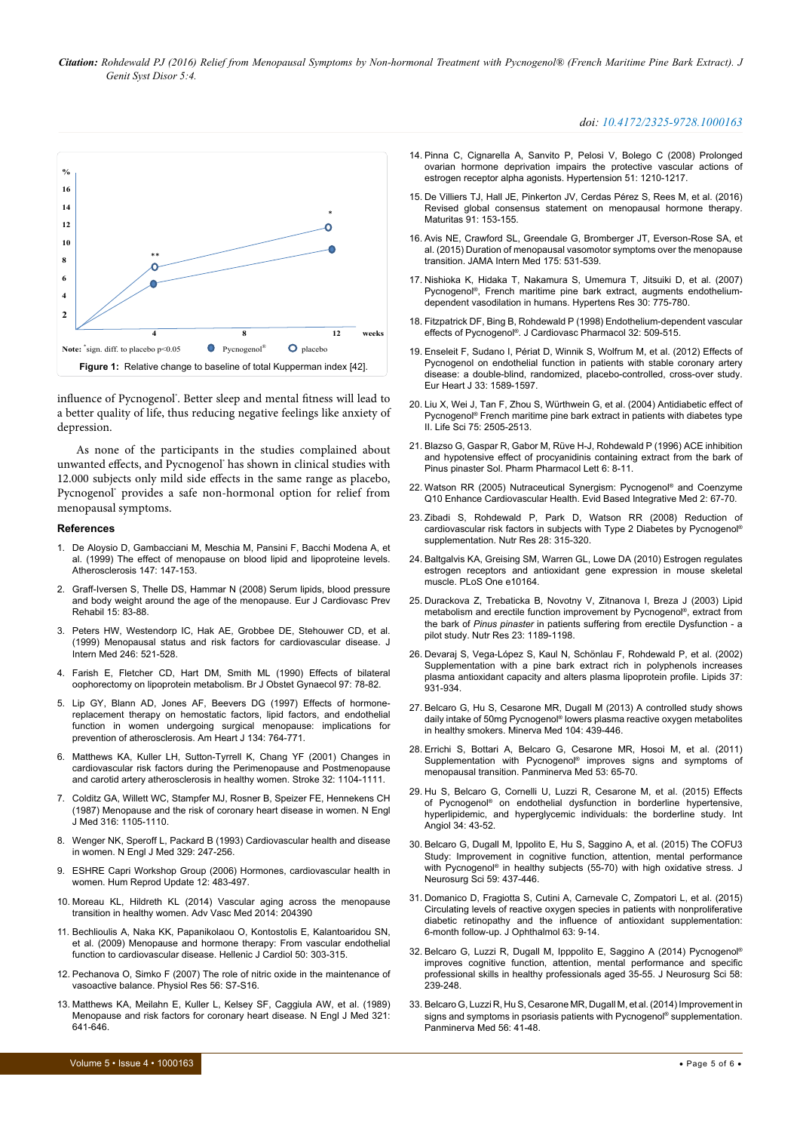*Citation: Rohdewald PJ (2016) Relief from Menopausal Symptoms by Non-hormonal Treatment with Pycnogenol® (French Maritime Pine Bark Extract). J Genit Syst Disor 5:4.*

<span id="page-4-30"></span>

influence of Pycnogenol'. Better sleep and mental fitness will lead to a better quality of life, thus reducing negative feelings like anxiety of depression.

As none of the participants in the studies complained about unwanted effects, and Pycnogenol® has shown in clinical studies with 12.000 subjects only mild side effects in the same range as placebo, Pycnogenol' provides a safe non-hormonal option for relief from menopausal symptoms.

#### **References**

- <span id="page-4-0"></span>1. [De Aloysio D, Gambacciani M, Meschia M, Pansini F, Bacchi Modena A, et](http://www.atherosclerosis-journal.com/article/S0021-9150(99)00315-9/abstract)  [al. \(1999\) The effect of menopause on blood lipid and lipoproteine levels.](http://www.atherosclerosis-journal.com/article/S0021-9150(99)00315-9/abstract)  [Atherosclerosis 147: 147-153.](http://www.atherosclerosis-journal.com/article/S0021-9150(99)00315-9/abstract)
- <span id="page-4-29"></span>2. [Graff-Iversen S, Thelle DS, Hammar N \(2008\) Serum lipids, blood pressure](http://cpr.sagepub.com/content/15/1/83.long)  [and body weight around the age of the menopause. Eur J Cardiovasc Prev](http://cpr.sagepub.com/content/15/1/83.long)  [Rehabil 15: 83-88.](http://cpr.sagepub.com/content/15/1/83.long)
- <span id="page-4-28"></span>3. [Peters HW, Westendorp IC, Hak AE, Grobbee DE, Stehouwer CD, et al.](http://127.0.0.1/?genre=article&sid=nlm:pubmed&issn=0954-6820&date=1999&volume=246&issue=6&spage=521)  [\(1999\) Menopausal status and risk factors for cardiovascular disease. J](http://127.0.0.1/?genre=article&sid=nlm:pubmed&issn=0954-6820&date=1999&volume=246&issue=6&spage=521)  [Intern Med 246: 521-528.](http://127.0.0.1/?genre=article&sid=nlm:pubmed&issn=0954-6820&date=1999&volume=246&issue=6&spage=521)
- 4. [Farish E, Fletcher CD, Hart DM, Smith ML \(1990\) Effects of bilateral](http://onlinelibrary.wiley.com/doi/10.1111/j.1471-0528.1990.tb01721.x/abstract)  [oophorectomy on lipoprotein metabolism. Br J Obstet Gynaecol 97: 78-82.](http://onlinelibrary.wiley.com/doi/10.1111/j.1471-0528.1990.tb01721.x/abstract)
- <span id="page-4-1"></span>5. [Lip GY, Blann AD, Jones AF, Beevers DG \(1997\) Effects of hormone](http://www.ahjonline.com/article/S0002-8703(97)70062-0/abstract)[replacement therapy on hemostatic factors, lipid factors, and endothelial](http://www.ahjonline.com/article/S0002-8703(97)70062-0/abstract)  [function in women undergoing surgical menopause: implications for](http://www.ahjonline.com/article/S0002-8703(97)70062-0/abstract)  [prevention of atherosclerosis. Am Heart J 134: 764-771.](http://www.ahjonline.com/article/S0002-8703(97)70062-0/abstract)
- <span id="page-4-2"></span>6. [Matthews KA, Kuller LH, Sutton-Tyrrell K, Chang YF \(2001\) Changes in](http://stroke.ahajournals.org/content/32/5/1104.long)  [cardiovascular risk factors during the Perimenopause and Postmenopause](http://stroke.ahajournals.org/content/32/5/1104.long)  [and carotid artery atherosclerosis in healthy women. Stroke 32: 1104-1111.](http://stroke.ahajournals.org/content/32/5/1104.long)
- <span id="page-4-3"></span>7. [Colditz GA, Willett WC, Stampfer MJ, Rosner B, Speizer FE, Hennekens CH](http://www.nejm.org/doi/full/10.1056/NEJM198704303161801)  [\(1987\) Menopause and the risk of coronary heart disease in women. N Engl](http://www.nejm.org/doi/full/10.1056/NEJM198704303161801)  [J Med 316: 1105-1110.](http://www.nejm.org/doi/full/10.1056/NEJM198704303161801)
- 8. [Wenger NK, Speroff L, Packard B \(1993\) Cardiovascular health and disease](http://www.nejm.org/doi/full/10.1056/NEJM199307223290406)  [in women. N Engl J Med 329: 247-256.](http://www.nejm.org/doi/full/10.1056/NEJM199307223290406)
- <span id="page-4-4"></span>9. [ESHRE Capri Workshop Group \(2006\) Hormones, cardiovascular health in](http://humupd.oxfordjournals.org/content/12/5/483.long)  [women. Hum Reprod Update 12: 483-497.](http://humupd.oxfordjournals.org/content/12/5/483.long)
- <span id="page-4-5"></span>10. [Moreau KL, Hildreth KL \(2014\) Vascular aging across the menopause](https://www.hindawi.com/archive/2014/204390/)  [transition in healthy women. Adv Vasc Med 2014: 204390](https://www.hindawi.com/archive/2014/204390/)
- <span id="page-4-6"></span>11. [Bechlioulis A, Naka KK, Papanikolaou O, Kontostolis E, Kalantoaridou SN,](http://www.hellenicjcardiol.org/archive/full_text/2009/4/2009_4_303.pdf)  [et al. \(2009\) Menopause and hormone therapy: From vascular endothelial](http://www.hellenicjcardiol.org/archive/full_text/2009/4/2009_4_303.pdf)  [function to cardiovascular disease. Hellenic J Cardiol 50: 303-315.](http://www.hellenicjcardiol.org/archive/full_text/2009/4/2009_4_303.pdf)
- <span id="page-4-7"></span>12. [Pechanova O, Simko F \(2007\) The role of nitric oxide in the maintenance of](http://www.biomed.cas.cz/physiolres/pdf/56 Suppl 2/56_S7.pdf)  [vasoactive balance. Physiol Res 56: S7-S16.](http://www.biomed.cas.cz/physiolres/pdf/56 Suppl 2/56_S7.pdf)
- <span id="page-4-8"></span>13. [Matthews KA, Meilahn E, Kuller L, Kelsey SF, Caggiula AW, et al.](http://www.nejm.org/doi/full/10.1056/NEJM198909073211004) (1989) [Menopause and risk factors for coronary heart disease. N Engl J Med 321:](http://www.nejm.org/doi/full/10.1056/NEJM198909073211004)  [641-646.](http://www.nejm.org/doi/full/10.1056/NEJM198909073211004)

#### *doi: 10.4172/2325-9728.1000163*

- <span id="page-4-9"></span>14. [Pinna C, Cignarella A, Sanvito P, Pelosi V, Bolego C \(2008\) Prolonged](http://hyper.ahajournals.org/content/51/4/1210.long)  [ovarian hormone deprivation impairs the protective vascular actions of](http://hyper.ahajournals.org/content/51/4/1210.long)  [estrogen receptor alpha agonists. Hypertension 51: 1210-1217.](http://hyper.ahajournals.org/content/51/4/1210.long)
- <span id="page-4-10"></span>15. [De Villiers TJ, Hall JE, Pinkerton JV, Cerdas P](http://www.maturitas.org/article/S0378-5122(16)30133-5/abstract)érez S, Rees M, et al. (2016) [Revised global consensus statement on menopausal hormone therapy.](http://www.maturitas.org/article/S0378-5122(16)30133-5/abstract)  [Maturitas 91: 153-155.](http://www.maturitas.org/article/S0378-5122(16)30133-5/abstract)
- <span id="page-4-11"></span>16. [Avis NE, Crawford SL, Greendale G, Bromberger JT, Everson-Rose SA, et](http://archinte.jamanetwork.com/article.aspx?articleid=2110996)  [al. \(2015\) Duration of menopausal vasomotor symptoms over the menopause](http://archinte.jamanetwork.com/article.aspx?articleid=2110996)  [transition. JAMA Intern Med 175: 531-539.](http://archinte.jamanetwork.com/article.aspx?articleid=2110996)
- <span id="page-4-12"></span>17. [Nishioka K, Hidaka T, Nakamura S, Umemura T, Jitsuiki D, et al.](http://www.nature.com/hr/journal/v30/n9/full/hr2007107a.html) (2007) [Pycnogenol®, French maritime pine bark extract, augments endothelium](http://www.nature.com/hr/journal/v30/n9/full/hr2007107a.html)[dependent vasodilation in humans. Hypertens Res 30: 775-780.](http://www.nature.com/hr/journal/v30/n9/full/hr2007107a.html)
- <span id="page-4-13"></span>18. [Fitzpatrick DF, Bing B, Rohdewald P \(1998\) Endothelium-dependent vascular](http://journals.lww.com/cardiovascularpharm/Fulltext/1998/10000/Endothelium_Dependent_Vascular_Effects_of.1.aspx)  effects of Pycnogenol®[. J Cardiovasc Pharmacol 32: 509-515.](http://journals.lww.com/cardiovascularpharm/Fulltext/1998/10000/Endothelium_Dependent_Vascular_Effects_of.1.aspx)
- <span id="page-4-14"></span>19. [Enseleit F, Sudano I, Périat D, Winnik S, Wolfrum M, et al. \(2012\) Effects of](http://eurheartj.oxfordjournals.org/content/33/13/1589.long)  [Pycnogenol on endothelial function in patients with stable coronary artery](http://eurheartj.oxfordjournals.org/content/33/13/1589.long)  [disease: a double-blind, randomized, placebo-controlled, cross-over study.](http://eurheartj.oxfordjournals.org/content/33/13/1589.long)  [Eur Heart J 33: 1589-1597.](http://eurheartj.oxfordjournals.org/content/33/13/1589.long)
- <span id="page-4-15"></span>20. Liu X, Wei J, Tan F, Zhou S, Wü[rthwein G, et al. \(2004\) Antidiabetic effect of](http://www.sciencedirect.com/science/article/pii/S0024320504006496?via%3Dihub)  [Pycnogenol® French maritime pine bark extract in patients with diabetes type](http://www.sciencedirect.com/science/article/pii/S0024320504006496?via%3Dihub)  [II. Life Sci 75: 2505-2513.](http://www.sciencedirect.com/science/article/pii/S0024320504006496?via%3Dihub)
- <span id="page-4-16"></span>21. Blazso G, Gaspar R, Gabor M, Rüve H-J, Rohdewald P (1996) ACE inhibition and hypotensive effect of procyanidinis containing extract from the bark of Pinus pinaster Sol. Pharm Pharmacol Lett 6: 8-11.
- <span id="page-4-17"></span>22. [Watson RR \(2005\) Nutraceutical Synergism: Pycnogenol®](https://goo.gl/6qHyUS) and Coenzyme [Q10 Enhance Cardiovascular Health. Evid Based Integrative Med 2: 67-70.](https://goo.gl/6qHyUS)
- <span id="page-4-18"></span>23. [Zibadi S, Rohdewald P, Park D, Watson RR \(2008\) Reduction of](http://www.nrjournal.com/article/S0271-5317(08)00060-2/abstracthttp:/url9.de/XDD)  [cardiovascular risk factors in subjects with Type 2 Diabetes by Pycnogenol®](http://www.nrjournal.com/article/S0271-5317(08)00060-2/abstracthttp:/url9.de/XDD) [supplementation. Nutr Res 28: 315-320.](http://www.nrjournal.com/article/S0271-5317(08)00060-2/abstracthttp:/url9.de/XDD)
- <span id="page-4-19"></span>24. [Baltgalvis KA, Greising SM, Warren GL, Lowe DA \(2010\) Estrogen regulates](http://journals.plos.org/plosone/article?id=10.1371/journal.pone.0010164)  [estrogen receptors and antioxidant gene expression in mouse skeletal](http://journals.plos.org/plosone/article?id=10.1371/journal.pone.0010164)  [muscle. PLoS One e10164.](http://journals.plos.org/plosone/article?id=10.1371/journal.pone.0010164)
- <span id="page-4-20"></span>25. [Durackova Z, Trebaticka B, Novotny V, Zitnanova I, Breza J \(2003\) Lipid](http://www.nrjournal.com/article/S0271-5317(03)00126-X/abstract)  [metabolism and erectile function improvement by Pycnogenol®, extract from](http://www.nrjournal.com/article/S0271-5317(03)00126-X/abstract)  the bark of *Pinus pinaster* [in patients suffering from erectile Dysfunction - a](http://www.nrjournal.com/article/S0271-5317(03)00126-X/abstract)  [pilot study. Nutr Res 23: 1189-1198.](http://www.nrjournal.com/article/S0271-5317(03)00126-X/abstract)
- <span id="page-4-21"></span>26. [Devaraj S, Vega-López S, Kaul N, Schönlau F, Rohdewald P, et al. \(2002\)](http://link.springer.com/article/10.1007/s11745-006-0982-3)  [Supplementation with a pine bark extract rich in polyphenols increases](http://link.springer.com/article/10.1007/s11745-006-0982-3)  [plasma antioxidant capacity and alters plasma lipoprotein profile. Lipids 37:](http://link.springer.com/article/10.1007/s11745-006-0982-3)  [931-934.](http://link.springer.com/article/10.1007/s11745-006-0982-3)
- <span id="page-4-22"></span>27. [Belcaro G, Hu S, Cesarone MR, Dugall M \(2013\) A controlled study shows](http://www.minervamedica.it/index2.t?show=R10Y2013N04A0439)  [daily intake of 50mg Pycnogenol® lowers plasma reactive oxygen metabolites](http://www.minervamedica.it/index2.t?show=R10Y2013N04A0439)  [in healthy smokers. Minerva Med 104: 439-446.](http://www.minervamedica.it/index2.t?show=R10Y2013N04A0439)
- <span id="page-4-23"></span>28. [Errichi S, Bottari A, Belcaro G, Cesarone MR, Hosoi M, et al. \(2011\)](http://www.pubfacts.com/detail/22108479/Supplementation-with-Pycnogenol-improves-signs-and-symptoms-of-menopausal-transition)  Supplementation with Pycnogenol<sup>®</sup> improves signs and symptoms of [menopausal transition. Panminerva Med 53: 65-70.](http://www.pubfacts.com/detail/22108479/Supplementation-with-Pycnogenol-improves-signs-and-symptoms-of-menopausal-transition)
- 29. [Hu S, Belcaro G, Cornelli U, Luzzi R, Cesarone M, et al. \(2015\) Effects](http://url9.de/XDH)  [of Pycnogenol® on endothelial dysfunction in borderline hypertensive,](http://url9.de/XDH)  [hyperlipidemic, and hyperglycemic individuals: the borderline study. Int](http://url9.de/XDH)  [Angiol 34: 43-52.](http://url9.de/XDH)
- <span id="page-4-24"></span>30. [Belcaro G, Dugall M, Ippolito E, Hu S, Saggino A, et al. \(2015\) The COFU3](http://www.minervamedica.it/index2.t?show=R38Y2015N04A0437)  [Study: Improvement in cognitive function, attention, mental performance](http://www.minervamedica.it/index2.t?show=R38Y2015N04A0437)  with Pycnogenol<sup>®</sup> in healthy subjects (55-70) with high oxidative stress. J [Neurosurg Sci 59: 437-446.](http://www.minervamedica.it/index2.t?show=R38Y2015N04A0437)
- <span id="page-4-25"></span>31. [Domanico D, Fragiotta S, Cutini A, Carnevale C, Zompatori L, et al. \(2015\)](http://www.ijo.in/article.asp?issn=0301-4738;year=2015;volume=63;issue=1;spage=9;epage=14;aulast=Domanico)  [Circulating levels of reactive oxygen species in patients with nonproliferative](http://www.ijo.in/article.asp?issn=0301-4738;year=2015;volume=63;issue=1;spage=9;epage=14;aulast=Domanico)  [diabetic retinopathy and the influence of antioxidant supplementation:](http://www.ijo.in/article.asp?issn=0301-4738;year=2015;volume=63;issue=1;spage=9;epage=14;aulast=Domanico)  [6-month follow-up. J Ophthalmol 63: 9-14.](http://www.ijo.in/article.asp?issn=0301-4738;year=2015;volume=63;issue=1;spage=9;epage=14;aulast=Domanico)
- <span id="page-4-26"></span>32. [Belcaro G, Luzzi R, Dugall M, Ipppolito E, Saggino A \(2014\) Pycnogenol®](http://santurel.net/_library/_files/Pycnogenol-studie-werkdruk.pdf) [improves cognitive function, attention, mental performance and specific](http://santurel.net/_library/_files/Pycnogenol-studie-werkdruk.pdf)  [professional skills in healthy professionals aged 35-55. J Neurosurg Sci 58:](http://santurel.net/_library/_files/Pycnogenol-studie-werkdruk.pdf)  [239-248.](http://santurel.net/_library/_files/Pycnogenol-studie-werkdruk.pdf)
- <span id="page-4-27"></span>33. [Belcaro G, Luzzi R, Hu S, Cesarone MR, Dugall M, et al. \(2014\) Improvement in](http://www.minervamedica.it/index2.t?show=R41Y2014N01A0041)  signs and symptoms in psoriasis patients with Pycnogenol<sup>®</sup> supplementation. [Panminerva Med 56: 41-48.](http://www.minervamedica.it/index2.t?show=R41Y2014N01A0041)